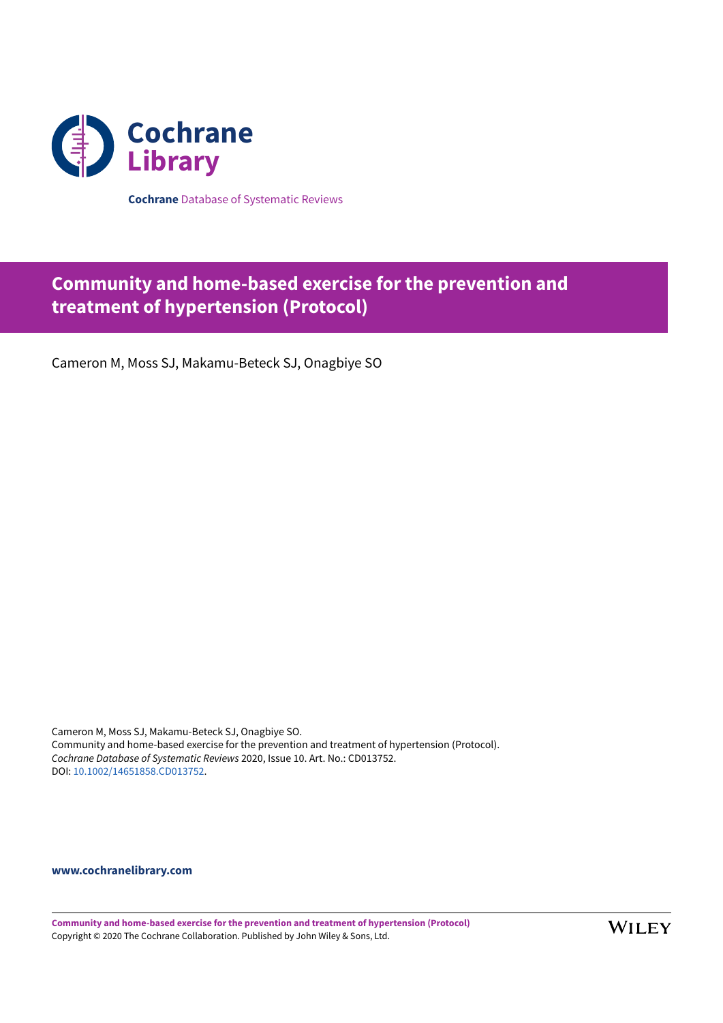

**Cochrane** Database of Systematic Reviews

# **Community and home-based exercise for the prevention and treatment of hypertension (Protocol)**

Cameron M, Moss SJ, Makamu-Beteck SJ, Onagbiye SO

Cameron M, Moss SJ, Makamu-Beteck SJ, Onagbiye SO. Community and home-based exercise for the prevention and treatment of hypertension (Protocol). *Cochrane Database of Systematic Reviews* 2020, Issue 10. Art. No.: CD013752. DOI: [10.1002/14651858.CD013752](https://doi.org/10.1002%2F14651858.CD013752).

**[www.cochranelibrary.com](https://www.cochranelibrary.com)**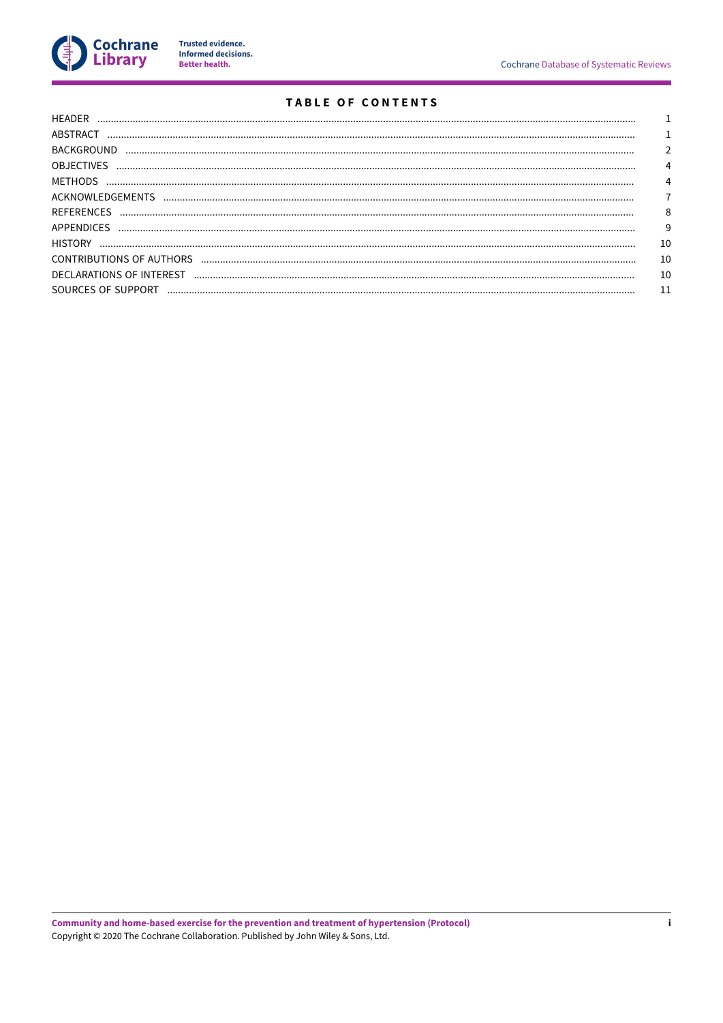

Trusted evidence.<br>Informed decisions.<br>Better health.

# **TABLE OF CONTENTS**

| ABSTRACT           |    |
|--------------------|----|
| <b>BACKGROUND</b>  |    |
| <b>OBJECTIVES</b>  |    |
|                    |    |
|                    |    |
| <b>REFERENCES</b>  | 8  |
| <b>APPENDICES</b>  | 9  |
| <b>HISTORY</b>     | 10 |
|                    | 10 |
|                    | 10 |
| SOURCES OF SUPPORT |    |
|                    |    |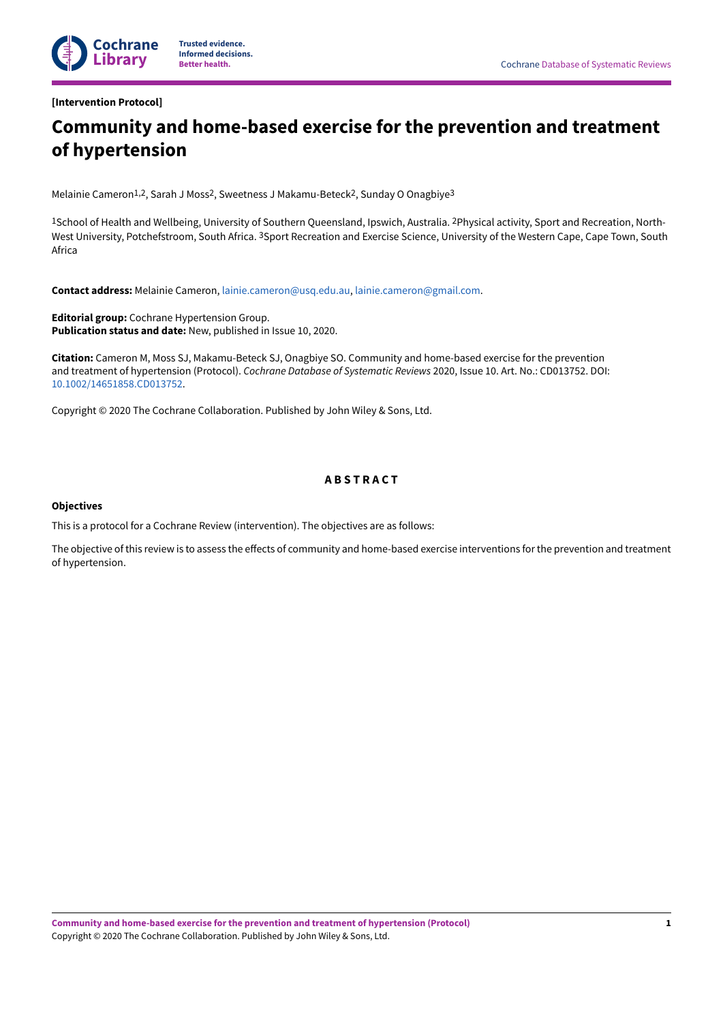<span id="page-2-0"></span>**[Intervention Protocol]**

# **Community and home-based exercise for the prevention and treatment of hypertension**

Melainie Cameron<sup>1,2</sup>, Sarah J Moss<sup>2</sup>, Sweetness J Makamu-Beteck<sup>2</sup>, Sunday O Onagbiye<sup>3</sup>

1School of Health and Wellbeing, University of Southern Queensland, Ipswich, Australia. 2Physical activity, Sport and Recreation, North-West University, Potchefstroom, South Africa. <sup>3</sup>Sport Recreation and Exercise Science, University of the Western Cape, Cape Town, South Africa

**Contact address:** Melainie Cameron, [lainie.cameron@usq.edu.au](mailto:lainie.cameron@usq.edu.au), [lainie.cameron@gmail.com.](mailto:lainie.cameron@gmail.com)

**Editorial group:** Cochrane Hypertension Group. **Publication status and date:** New, published in Issue 10, 2020.

**Citation:** Cameron M, Moss SJ, Makamu-Beteck SJ, Onagbiye SO. Community and home-based exercise for the prevention and treatment of hypertension (Protocol). *Cochrane Database of Systematic Reviews* 2020, Issue 10. Art. No.: CD013752. DOI: [10.1002/14651858.CD013752](https://doi.org/10.1002%2F14651858.CD013752).

Copyright © 2020 The Cochrane Collaboration. Published by John Wiley & Sons, Ltd.

# **A B S T R A C T**

# <span id="page-2-1"></span>**Objectives**

This is a protocol for a Cochrane Review (intervention). The objectives are as follows:

The objective of this review is to assess the effects of community and home-based exercise interventions for the prevention and treatment of hypertension.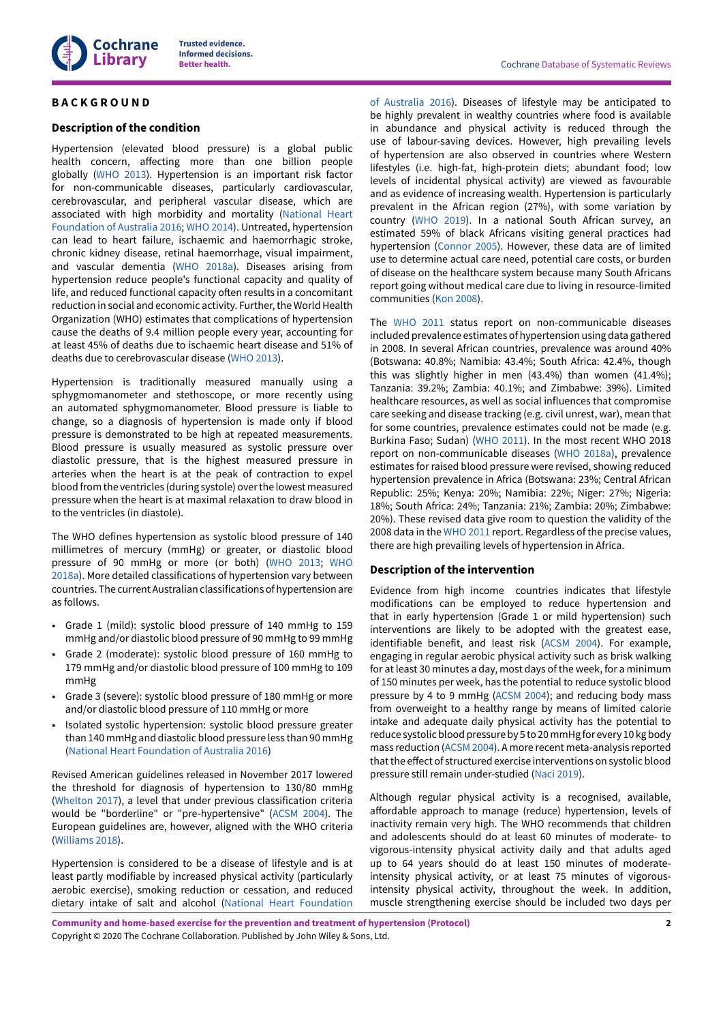

# <span id="page-3-0"></span>**B A C K G R O U N D**

# **Description of the condition**

Hypertension (elevated blood pressure) is a global public health concern, affecting more than one billion people globally [\(WHO 2013](#page-10-1)). Hypertension is an important risk factor for non-communicable diseases, particularly cardiovascular, cerebrovascular, and peripheral vascular disease, which are associated with high morbidity and mortality ([National](#page-9-1) Heart [Foundation](#page-9-1) of Australia 2016; [WHO 2014](#page-10-2)). Untreated, hypertension can lead to heart failure, ischaemic and haemorrhagic stroke, chronic kidney disease, retinal haemorrhage, visual impairment, and vascular dementia ([WHO 2018a](#page-10-3)). Diseases arising from hypertension reduce people's functional capacity and quality of life, and reduced functional capacity often results in a concomitant reduction in social and economic activity. Further, the World Health Organization (WHO) estimates that complications of hypertension cause the deaths of 9.4 million people every year, accounting for at least 45% of deaths due to ischaemic heart disease and 51% of deaths due to cerebrovascular disease [\(WHO 2013\)](#page-10-1).

Hypertension is traditionally measured manually using a sphygmomanometer and stethoscope, or more recently using an automated sphygmomanometer. Blood pressure is liable to change, so a diagnosis of hypertension is made only if blood pressure is demonstrated to be high at repeated measurements. Blood pressure is usually measured as systolic pressure over diastolic pressure, that is the highest measured pressure in arteries when the heart is at the peak of contraction to expel blood from the ventricles (during systole) overthe lowest measured pressure when the heart is at maximal relaxation to draw blood in to the ventricles (in diastole).

The WHO defines hypertension as systolic blood pressure of 140 millimetres of mercury (mmHg) or greater, or diastolic blood pressure of 90 mmHg or more (or both) ([WHO 2013;](#page-10-1) [WHO](#page-10-3) [2018a\)](#page-10-3). More detailed classifications of hypertension vary between countries. The current Australian classifications of hypertension are as follows.

- Grade 1 (mild): systolic blood pressure of 140 mmHg to 159 mmHg and/or diastolic blood pressure of 90 mmHg to 99 mmHg
- Grade 2 (moderate): systolic blood pressure of 160 mmHg to 179 mmHg and/or diastolic blood pressure of 100 mmHg to 109 mmHg
- Grade 3 (severe): systolic blood pressure of 180 mmHg or more and/or diastolic blood pressure of 110 mmHg or more
- Isolated systolic hypertension: systolic blood pressure greater than 140 mmHg and diastolic blood pressure less than 90 mmHg (National Heart [Foundation](#page-9-1) of Australia 2016)

Revised American guidelines released in November 2017 lowered the threshold for diagnosis of hypertension to 130/80 mmHg [\(Whelton](#page-10-4) 2017), a level that under previous classification criteria would be "borderline" or "pre-hypertensive" ([ACSM](#page-9-2) 2004). The European guidelines are, however, aligned with the WHO criteria [\(Williams 2018\)](#page-10-5).

Hypertension is considered to be a disease of lifestyle and is at least partly modifiable by increased physical activity (particularly aerobic exercise), smoking reduction or cessation, and reduced dietary intake of salt and alcohol (National Heart [Foundation](#page-9-1)

of [Australia](#page-9-1) 2016). Diseases of lifestyle may be anticipated to be highly prevalent in wealthy countries where food is available in abundance and physical activity is reduced through the use of labour-saving devices. However, high prevailing levels of hypertension are also observed in countries where Western lifestyles (i.e. high-fat, high-protein diets; abundant food; low levels of incidental physical activity) are viewed as favourable and as evidence of increasing wealth. Hypertension is particularly prevalent in the African region (27%), with some variation by country ([WHO 2019\)](#page-10-6). In a national South African survey, an estimated 59% of black Africans visiting general practices had hypertension [\(Connor 2005](#page-9-3)). However, these data are of limited use to determine actual care need, potential care costs, or burden of disease on the healthcare system because many South Africans report going without medical care due to living in resource-limited communities (Kon [2008](#page-9-4)).

The [WHO 2011](#page-10-7) status report on non-communicable diseases included prevalence estimates of hypertension using data gathered in 2008. In several African countries, prevalence was around 40% (Botswana: 40.8%; Namibia: 43.4%; South Africa: 42.4%, though this was slightly higher in men (43.4%) than women (41.4%); Tanzania: 39.2%; Zambia: 40.1%; and Zimbabwe: 39%). Limited healthcare resources, as well as social influences that compromise care seeking and disease tracking (e.g. civil unrest, war), mean that for some countries, prevalence estimates could not be made (e.g. Burkina Faso; Sudan) ([WHO 2011](#page-10-7)). In the most recent WHO 2018 report on non-communicable diseases ([WHO 2018a](#page-10-3)), prevalence estimates for raised blood pressure were revised, showing reduced hypertension prevalence in Africa (Botswana: 23%; Central African Republic: 25%; Kenya: 20%; Namibia: 22%; Niger: 27%; Nigeria: 18%; South Africa: 24%; Tanzania: 21%; Zambia: 20%; Zimbabwe: 20%). These revised data give room to question the validity of the 2008 data in the [WHO 2011](#page-10-7) report. Regardless of the precise values, there are high prevailing levels of hypertension in Africa.

### **Description of the intervention**

Evidence from high income countries indicates that lifestyle modifications can be employed to reduce hypertension and that in early hypertension (Grade 1 or mild hypertension) such interventions are likely to be adopted with the greatest ease, identifiable benefit, and least risk [\(ACSM](#page-9-2) 2004). For example, engaging in regular aerobic physical activity such as brisk walking for at least 30 minutes a day, most days of the week, for a minimum of 150 minutes per week, has the potential to reduce systolic blood pressure by 4 to 9 mmHg [\(ACSM](#page-9-2) 2004); and reducing body mass from overweight to a healthy range by means of limited calorie intake and adequate daily physical activity has the potential to reduce systolic blood pressure by 5 to 20 mmHg for every 10 kg body mass reduction [\(ACSM](#page-9-2) 2004). A more recent meta-analysis reported that the effect of structured exercise interventions on systolic blood pressure still remain under-studied [\(Naci 2019\)](#page-9-5).

Although regular physical activity is a recognised, available, affordable approach to manage (reduce) hypertension, levels of inactivity remain very high. The WHO recommends that children and adolescents should do at least 60 minutes of moderate- to vigorous-intensity physical activity daily and that adults aged up to 64 years should do at least 150 minutes of moderateintensity physical activity, or at least 75 minutes of vigorousintensity physical activity, throughout the week. In addition, muscle strengthening exercise should be included two days per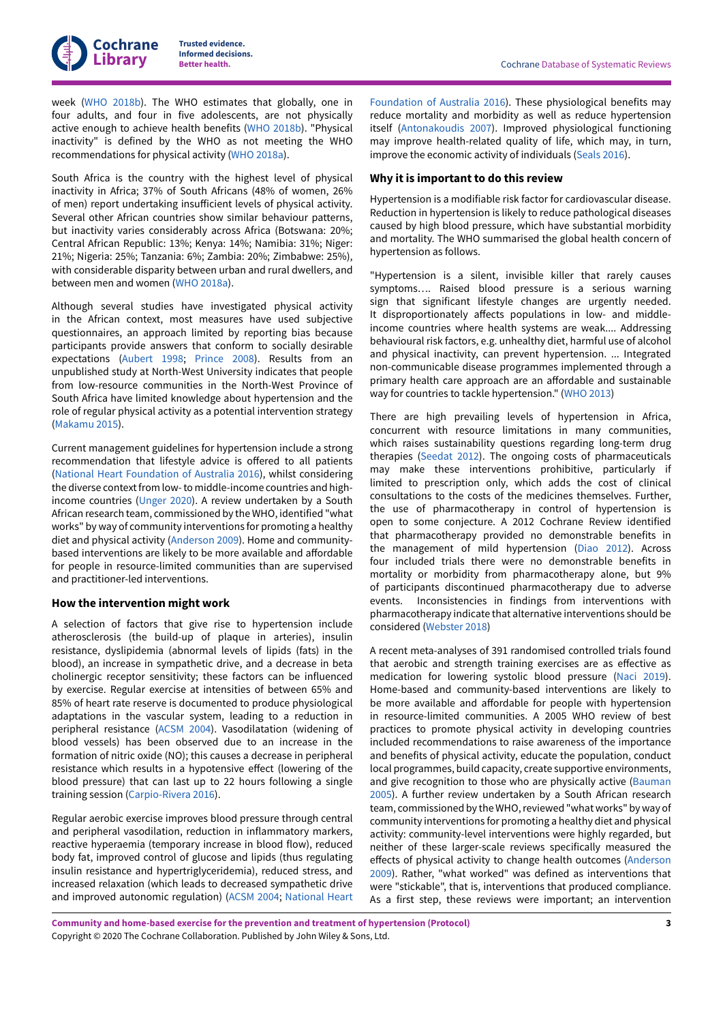

week ([WHO 2018b\)](#page-10-8). The WHO estimates that globally, one in four adults, and four in five adolescents, are not physically active enough to achieve health benefits ([WHO 2018b](#page-10-8)). "Physical inactivity" is defined by the WHO as not meeting the WHO recommendations for physical activity [\(WHO 2018a](#page-10-3)).

South Africa is the country with the highest level of physical inactivity in Africa; 37% of South Africans (48% of women, 26% of men) report undertaking insufficient levels of physical activity. Several other African countries show similar behaviour patterns, but inactivity varies considerably across Africa (Botswana: 20%; Central African Republic: 13%; Kenya: 14%; Namibia: 31%; Niger: 21%; Nigeria: 25%; Tanzania: 6%; Zambia: 20%; Zimbabwe: 25%), with considerable disparity between urban and rural dwellers, and between men and women ([WHO 2018a\)](#page-10-3).

Although several studies have investigated physical activity in the African context, most measures have used subjective questionnaires, an approach limited by reporting bias because participants provide answers that conform to socially desirable expectations ([Aubert](#page-9-6) 1998; [Prince](#page-9-7) 2008). Results from an unpublished study at North-West University indicates that people from low-resource communities in the North-West Province of South Africa have limited knowledge about hypertension and the role of regular physical activity as a potential intervention strategy [\(Makamu](#page-9-8) 2015).

Current management guidelines for hypertension include a strong recommendation that lifestyle advice is offered to all patients (National Heart [Foundation](#page-9-1) of Australia 2016), whilst considering the diverse context from low- to middle-income countries and highincome countries [\(Unger](#page-10-9) 2020). A review undertaken by a South African research team, commissioned by the WHO, identified "what works" by way of community interventions for promoting a healthy diet and physical activity ([Anderson](#page-9-9) 2009). Home and communitybased interventions are likely to be more available and affordable for people in resource-limited communities than are supervised and practitioner-led interventions.

# **How the intervention might work**

A selection of factors that give rise to hypertension include atherosclerosis (the build-up of plaque in arteries), insulin resistance, dyslipidemia (abnormal levels of lipids (fats) in the blood), an increase in sympathetic drive, and a decrease in beta cholinergic receptor sensitivity; these factors can be influenced by exercise. Regular exercise at intensities of between 65% and 85% of heart rate reserve is documented to produce physiological adaptations in the vascular system, leading to a reduction in peripheral resistance [\(ACSM](#page-9-2) 2004). Vasodilatation (widening of blood vessels) has been observed due to an increase in the formation of nitric oxide (NO); this causes a decrease in peripheral resistance which results in a hypotensive effect (lowering of the blood pressure) that can last up to 22 hours following a single training session ([Carpio-Rivera](#page-9-10) 2016).

Regular aerobic exercise improves blood pressure through central and peripheral vasodilation, reduction in inflammatory markers, reactive hyperaemia (temporary increase in blood flow), reduced body fat, improved control of glucose and lipids (thus regulating insulin resistance and hypertriglyceridemia), reduced stress, and increased relaxation (which leads to decreased sympathetic drive and improved autonomic regulation) [\(ACSM](#page-9-2) 2004; [National](#page-9-1) Heart

[Foundation](#page-9-1) of Australia 2016). These physiological benefits may reduce mortality and morbidity as well as reduce hypertension itself [\(Antonakoudis](#page-9-11) 2007). Improved physiological functioning may improve health-related quality of life, which may, in turn, improve the economic activity of individuals ([Seals](#page-10-10) 2016).

### **Why it is important to do this review**

Hypertension is a modifiable risk factor for cardiovascular disease. Reduction in hypertension is likely to reduce pathological diseases caused by high blood pressure, which have substantial morbidity and mortality. The WHO summarised the global health concern of hypertension as follows.

"Hypertension is a silent, invisible killer that rarely causes symptoms…. Raised blood pressure is a serious warning sign that significant lifestyle changes are urgently needed. It disproportionately affects populations in low- and middleincome countries where health systems are weak.... Addressing behavioural risk factors, e.g. unhealthy diet, harmful use of alcohol and physical inactivity, can prevent hypertension. ... Integrated non-communicable disease programmes implemented through a primary health care approach are an affordable and sustainable way for countries to tackle hypertension." ([WHO 2013](#page-10-1))

There are high prevailing levels of hypertension in Africa, concurrent with resource limitations in many communities, which raises sustainability questions regarding long-term drug therapies ([Seedat 2012\)](#page-10-11). The ongoing costs of pharmaceuticals may make these interventions prohibitive, particularly if limited to prescription only, which adds the cost of clinical consultations to the costs of the medicines themselves. Further, the use of pharmacotherapy in control of hypertension is open to some conjecture. A 2012 Cochrane Review identified that pharmacotherapy provided no demonstrable benefits in the management of mild hypertension ([Diao 2012](#page-9-12)). Across four included trials there were no demonstrable benefits in mortality or morbidity from pharmacotherapy alone, but 9% of participants discontinued pharmacotherapy due to adverse events. Inconsistencies in findings from interventions with pharmacotherapy indicate that alternative interventions should be considered ([Webster](#page-10-12) 2018)

A recent meta-analyses of 391 randomised controlled trials found that aerobic and strength training exercises are as effective as medication for lowering systolic blood pressure ([Naci 2019\)](#page-9-5). Home-based and community-based interventions are likely to be more available and affordable for people with hypertension in resource-limited communities. A 2005 WHO review of best practices to promote physical activity in developing countries included recommendations to raise awareness of the importance and benefits of physical activity, educate the population, conduct local programmes, build capacity, create supportive environments, and give recognition to those who are physically active [\(Bauman](#page-9-13) [2005\)](#page-9-13). A further review undertaken by a South African research team, commissioned by the WHO, reviewed "what works" by way of community interventions for promoting a healthy diet and physical activity: community-level interventions were highly regarded, but neither of these larger-scale reviews specifically measured the effects of physical activity to change health outcomes ([Anderson](#page-9-9) [2009\)](#page-9-9). Rather, "what worked" was defined as interventions that were "stickable", that is, interventions that produced compliance. As a first step, these reviews were important; an intervention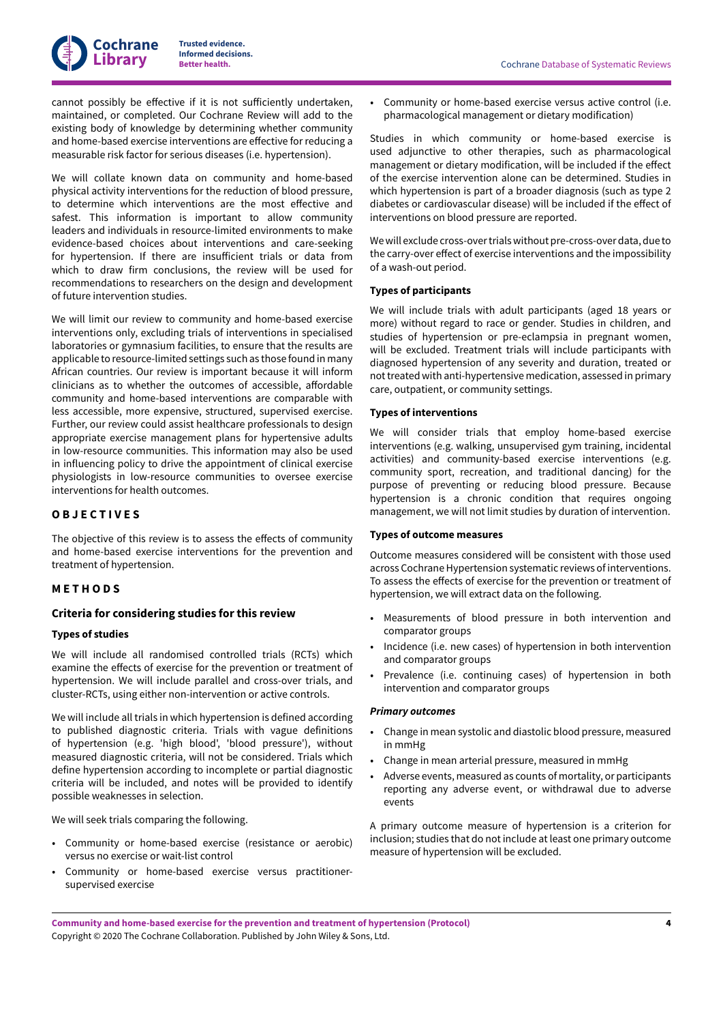cannot possibly be effective if it is not sufficiently undertaken, maintained, or completed. Our Cochrane Review will add to the existing body of knowledge by determining whether community and home-based exercise interventions are effective for reducing a measurable risk factor for serious diseases (i.e. hypertension).

We will collate known data on community and home-based physical activity interventions for the reduction of blood pressure, to determine which interventions are the most effective and safest. This information is important to allow community leaders and individuals in resource-limited environments to make evidence-based choices about interventions and care-seeking for hypertension. If there are insufficient trials or data from which to draw firm conclusions, the review will be used for recommendations to researchers on the design and development of future intervention studies.

We will limit our review to community and home-based exercise interventions only, excluding trials of interventions in specialised laboratories or gymnasium facilities, to ensure that the results are applicable to resource-limited settings such as those found in many African countries. Our review is important because it will inform clinicians as to whether the outcomes of accessible, affordable community and home-based interventions are comparable with less accessible, more expensive, structured, supervised exercise. Further, our review could assist healthcare professionals to design appropriate exercise management plans for hypertensive adults in low-resource communities. This information may also be used in influencing policy to drive the appointment of clinical exercise physiologists in low-resource communities to oversee exercise interventions for health outcomes.

# <span id="page-5-0"></span>**O B J E C T I V E S**

The objective of this review is to assess the effects of community and home-based exercise interventions for the prevention and treatment of hypertension.

# <span id="page-5-1"></span>**M E T H O D S**

# **Criteria for considering studies for this review**

# **Types of studies**

We will include all randomised controlled trials (RCTs) which examine the effects of exercise for the prevention or treatment of hypertension. We will include parallel and cross-over trials, and cluster-RCTs, using either non-intervention or active controls.

We will include all trials in which hypertension is defined according to published diagnostic criteria. Trials with vague definitions of hypertension (e.g. 'high blood', 'blood pressure'), without measured diagnostic criteria, will not be considered. Trials which define hypertension according to incomplete or partial diagnostic criteria will be included, and notes will be provided to identify possible weaknesses in selection.

We will seek trials comparing the following.

- Community or home-based exercise (resistance or aerobic) versus no exercise or wait-list control
- Community or home-based exercise versus practitionersupervised exercise

**Beta Cochrane Database of Systematic Reviews** 

• Community or home-based exercise versus active control (i.e. pharmacological management or dietary modification)

Studies in which community or home-based exercise is used adjunctive to other therapies, such as pharmacological management or dietary modification, will be included if the effect of the exercise intervention alone can be determined. Studies in which hypertension is part of a broader diagnosis (such as type 2 diabetes or cardiovascular disease) will be included if the effect of interventions on blood pressure are reported.

We will exclude cross-over trials without pre-cross-over data, due to the carry-over effect of exercise interventions and the impossibility of a wash-out period.

# **Types of participants**

We will include trials with adult participants (aged 18 years or more) without regard to race or gender. Studies in children, and studies of hypertension or pre-eclampsia in pregnant women, will be excluded. Treatment trials will include participants with diagnosed hypertension of any severity and duration, treated or not treated with anti-hypertensive medication, assessed in primary care, outpatient, or community settings.

# **Types of interventions**

We will consider trials that employ home-based exercise interventions (e.g. walking, unsupervised gym training, incidental activities) and community-based exercise interventions (e.g. community sport, recreation, and traditional dancing) for the purpose of preventing or reducing blood pressure. Because hypertension is a chronic condition that requires ongoing management, we will not limit studies by duration of intervention.

### **Types of outcome measures**

Outcome measures considered will be consistent with those used across Cochrane Hypertension systematic reviews of interventions. To assess the effects of exercise for the prevention or treatment of hypertension, we will extract data on the following.

- Measurements of blood pressure in both intervention and comparator groups
- Incidence (i.e. new cases) of hypertension in both intervention and comparator groups
- Prevalence (i.e. continuing cases) of hypertension in both intervention and comparator groups

### *Primary outcomes*

- Change in mean systolic and diastolic blood pressure, measured in mmHg
- Change in mean arterial pressure, measured in mmHg
- Adverse events, measured as counts of mortality, or participants reporting any adverse event, or withdrawal due to adverse events

A primary outcome measure of hypertension is a criterion for inclusion; studies that do not include at least one primary outcome measure of hypertension will be excluded.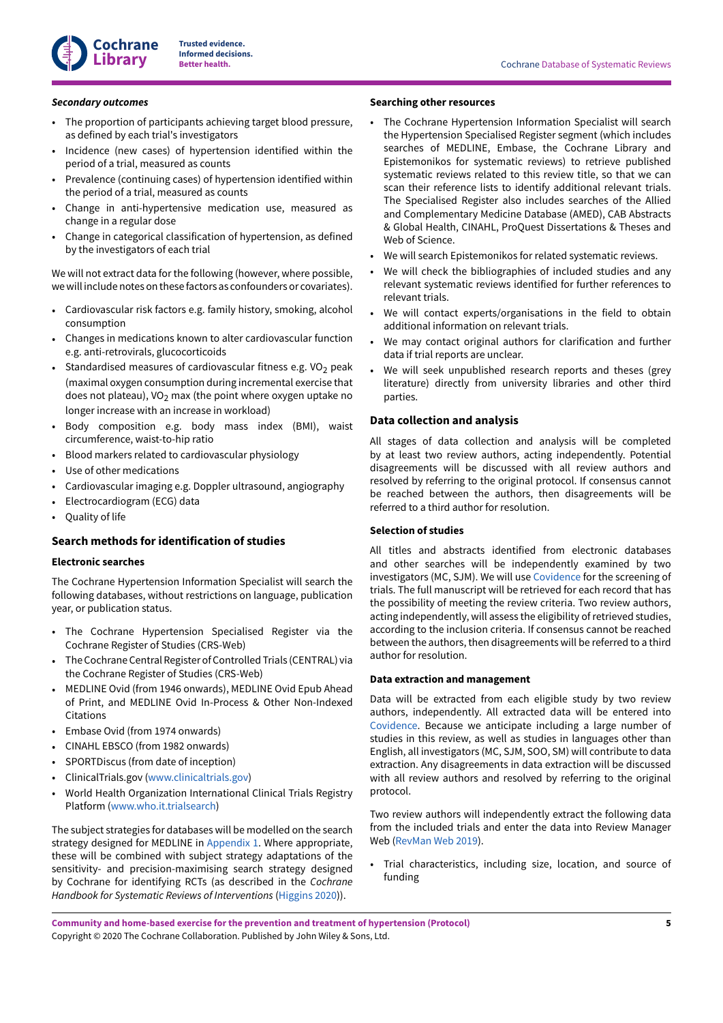

#### *Secondary outcomes*

- The proportion of participants achieving target blood pressure, as defined by each trial's investigators
- Incidence (new cases) of hypertension identified within the period of a trial, measured as counts
- Prevalence (continuing cases) of hypertension identified within the period of a trial, measured as counts
- Change in anti-hypertensive medication use, measured as change in a regular dose
- Change in categorical classification of hypertension, as defined by the investigators of each trial

We will not extract data for the following (however, where possible, we will include notes on these factors as confounders or covariates).

- Cardiovascular risk factors e.g. family history, smoking, alcohol consumption
- Changes in medications known to alter cardiovascular function e.g. anti-retrovirals, glucocorticoids
- Standardised measures of cardiovascular fitness e.g. VO<sub>2</sub> peak (maximal oxygen consumption during incremental exercise that does not plateau), VO<sub>2</sub> max (the point where oxygen uptake no longer increase with an increase in workload)
- Body composition e.g. body mass index (BMI), waist circumference, waist-to-hip ratio
- Blood markers related to cardiovascular physiology
- Use of other medications
- Cardiovascular imaging e.g. Doppler ultrasound, angiography
- Electrocardiogram (ECG) data
- Quality of life

# **Search methods for identification of studies**

### **Electronic searches**

The Cochrane Hypertension Information Specialist will search the following databases, without restrictions on language, publication year, or publication status.

- The Cochrane Hypertension Specialised Register via the Cochrane Register of Studies (CRS-Web)
- The Cochrane Central Register of Controlled Trials (CENTRAL) via the Cochrane Register of Studies (CRS-Web)
- MEDLINE Ovid (from 1946 onwards), MEDLINE Ovid Epub Ahead of Print, and MEDLINE Ovid In-Process & Other Non-Indexed Citations
- Embase Ovid (from 1974 onwards)
- CINAHL EBSCO (from 1982 onwards)
- SPORTDiscus (from date of inception)
- ClinicalTrials.gov [\(www.clinicaltrials.gov](http://www.clinicaltrials.gov))
- World Health Organization International Clinical Trials Registry Platform [\(www.who.it.trialsearch\)](http://www.who.it.trialsearch)

The subject strategies for databases will be modelled on the search strategy designed for MEDLINE in [Appendix 1.](#page-10-13) Where appropriate, these will be combined with subject strategy adaptations of the sensitivity- and precision-maximising search strategy designed by Cochrane for identifying RCTs (as described in the *Cochrane Handbook for Systematic Reviews of Interventions* ([Higgins 2020](#page-9-14))).

# **Searching other resources**

- The Cochrane Hypertension Information Specialist will search the Hypertension Specialised Register segment (which includes searches of MEDLINE, Embase, the Cochrane Library and Epistemonikos for systematic reviews) to retrieve published systematic reviews related to this review title, so that we can scan their reference lists to identify additional relevant trials. The Specialised Register also includes searches of the Allied and Complementary Medicine Database (AMED), CAB Abstracts & Global Health, CINAHL, ProQuest Dissertations & Theses and Web of Science.
- We will search Epistemonikos for related systematic reviews.
- We will check the bibliographies of included studies and any relevant systematic reviews identified for further references to relevant trials.
- We will contact experts/organisations in the field to obtain additional information on relevant trials.
- We may contact original authors for clarification and further data if trial reports are unclear.
- We will seek unpublished research reports and theses (grey literature) directly from university libraries and other third parties.

# **Data collection and analysis**

All stages of data collection and analysis will be completed by at least two review authors, acting independently. Potential disagreements will be discussed with all review authors and resolved by referring to the original protocol. If consensus cannot be reached between the authors, then disagreements will be referred to a third author for resolution.

# **Selection of studies**

All titles and abstracts identified from electronic databases and other searches will be independently examined by two investigators (MC, SJM). We will use [Covidence](#page-9-15) for the screening of trials. The full manuscript will be retrieved for each record that has the possibility of meeting the review criteria. Two review authors, acting independently, will assess the eligibility of retrieved studies, according to the inclusion criteria. If consensus cannot be reached between the authors, then disagreements will be referred to a third author for resolution.

# **Data extraction and management**

Data will be extracted from each eligible study by two review authors, independently. All extracted data will be entered into [Covidence.](#page-9-15) Because we anticipate including a large number of studies in this review, as well as studies in languages other than English, all investigators (MC, SJM, SOO, SM) will contribute to data extraction. Any disagreements in data extraction will be discussed with all review authors and resolved by referring to the original protocol.

Two review authors will independently extract the following data from the included trials and enter the data into Review Manager Web ([RevMan](#page-10-14) Web 2019).

• Trial characteristics, including size, location, and source of funding

**Community and home-based exercise for the prevention and treatment of hypertension (Protocol)** Copyright © 2020 The Cochrane Collaboration. Published by John Wiley & Sons, Ltd.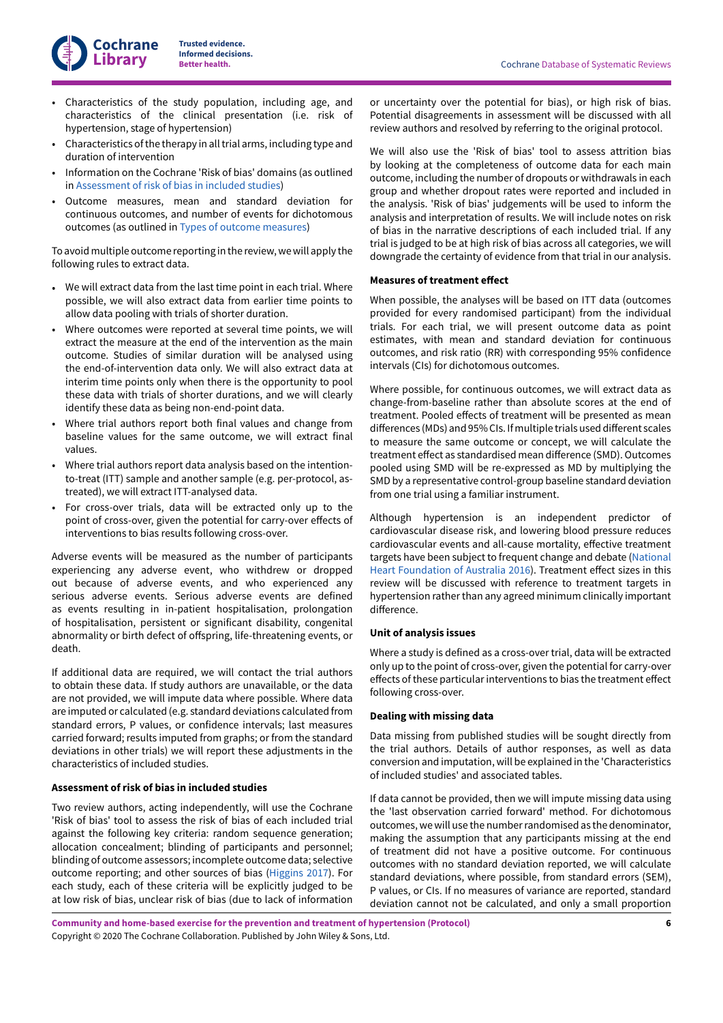

- Characteristics of the study population, including age, and characteristics of the clinical presentation (i.e. risk of hypertension, stage of hypertension)
- Characteristics of the therapy in all trial arms, including type and duration of intervention
- Information on the Cochrane 'Risk of bias' domains (as outlined in [Assessment](#page-7-0) of risk of bias in included studies)
- Outcome measures, mean and standard deviation for continuous outcomes, and number of events for dichotomous outcomes (as outlined in Types of outcome [measures\)](http://archie.cochrane.org/sections/documents/#CRIT_OUTCOMES)

To avoid multiple outcome reporting in the review, we will apply the following rules to extract data.

- We will extract data from the last time point in each trial. Where possible, we will also extract data from earlier time points to allow data pooling with trials of shorter duration.
- Where outcomes were reported at several time points, we will extract the measure at the end of the intervention as the main outcome. Studies of similar duration will be analysed using the end-of-intervention data only. We will also extract data at interim time points only when there is the opportunity to pool these data with trials of shorter durations, and we will clearly identify these data as being non-end-point data.
- Where trial authors report both final values and change from baseline values for the same outcome, we will extract final values.
- Where trial authors report data analysis based on the intentionto-treat (ITT) sample and another sample (e.g. per-protocol, astreated), we will extract ITT-analysed data.
- For cross-over trials, data will be extracted only up to the point of cross-over, given the potential for carry-over effects of interventions to bias results following cross-over.

Adverse events will be measured as the number of participants experiencing any adverse event, who withdrew or dropped out because of adverse events, and who experienced any serious adverse events. Serious adverse events are defined as events resulting in in-patient hospitalisation, prolongation of hospitalisation, persistent or significant disability, congenital abnormality or birth defect of offspring, life-threatening events, or death.

If additional data are required, we will contact the trial authors to obtain these data. If study authors are unavailable, or the data are not provided, we will impute data where possible. Where data are imputed or calculated (e.g. standard deviations calculated from standard errors, P values, or confidence intervals; last measures carried forward; results imputed from graphs; or from the standard deviations in other trials) we will report these adjustments in the characteristics of included studies.

# <span id="page-7-0"></span>**Assessment of risk of bias in included studies**

Two review authors, acting independently, will use the Cochrane 'Risk of bias' tool to assess the risk of bias of each included trial against the following key criteria: random sequence generation; allocation concealment; blinding of participants and personnel; blinding of outcome assessors; incomplete outcome data; selective outcome reporting; and other sources of bias ([Higgins 2017\)](#page-9-16). For each study, each of these criteria will be explicitly judged to be at low risk of bias, unclear risk of bias (due to lack of information

or uncertainty over the potential for bias), or high risk of bias. Potential disagreements in assessment will be discussed with all review authors and resolved by referring to the original protocol.

We will also use the 'Risk of bias' tool to assess attrition bias by looking at the completeness of outcome data for each main outcome, including the number of dropouts or withdrawals in each group and whether dropout rates were reported and included in the analysis. 'Risk of bias' judgements will be used to inform the analysis and interpretation of results. We will include notes on risk of bias in the narrative descriptions of each included trial. If any trial is judged to be at high risk of bias across all categories, we will downgrade the certainty of evidence from that trial in our analysis.

#### **Measures of treatment effect**

When possible, the analyses will be based on ITT data (outcomes provided for every randomised participant) from the individual trials. For each trial, we will present outcome data as point estimates, with mean and standard deviation for continuous outcomes, and risk ratio (RR) with corresponding 95% confidence intervals (CIs) for dichotomous outcomes.

Where possible, for continuous outcomes, we will extract data as change-from-baseline rather than absolute scores at the end of treatment. Pooled effects of treatment will be presented as mean differences (MDs) and 95% CIs. If multiple trials used different scales to measure the same outcome or concept, we will calculate the treatment effect as standardised mean difference (SMD). Outcomes pooled using SMD will be re-expressed as MD by multiplying the SMD by a representative control-group baseline standard deviation from one trial using a familiar instrument.

Although hypertension is an independent predictor of cardiovascular disease risk, and lowering blood pressure reduces cardiovascular events and all-cause mortality, effective treatment targets have been subject to frequent change and debate ([National](#page-9-1) Heart [Foundation](#page-9-1) of Australia 2016). Treatment effect sizes in this review will be discussed with reference to treatment targets in hypertension rather than any agreed minimum clinically important difference.

#### **Unit of analysis issues**

Where a study is defined as a cross-over trial, data will be extracted only up to the point of cross-over, given the potential for carry-over effects of these particular interventions to bias the treatment effect following cross-over.

### **Dealing with missing data**

Data missing from published studies will be sought directly from the trial authors. Details of author responses, as well as data conversion and imputation, will be explained in the 'Characteristics of included studies' and associated tables.

If data cannot be provided, then we will impute missing data using the 'last observation carried forward' method. For dichotomous outcomes, we will use the numberrandomised as the denominator, making the assumption that any participants missing at the end of treatment did not have a positive outcome. For continuous outcomes with no standard deviation reported, we will calculate standard deviations, where possible, from standard errors (SEM), P values, or CIs. If no measures of variance are reported, standard deviation cannot not be calculated, and only a small proportion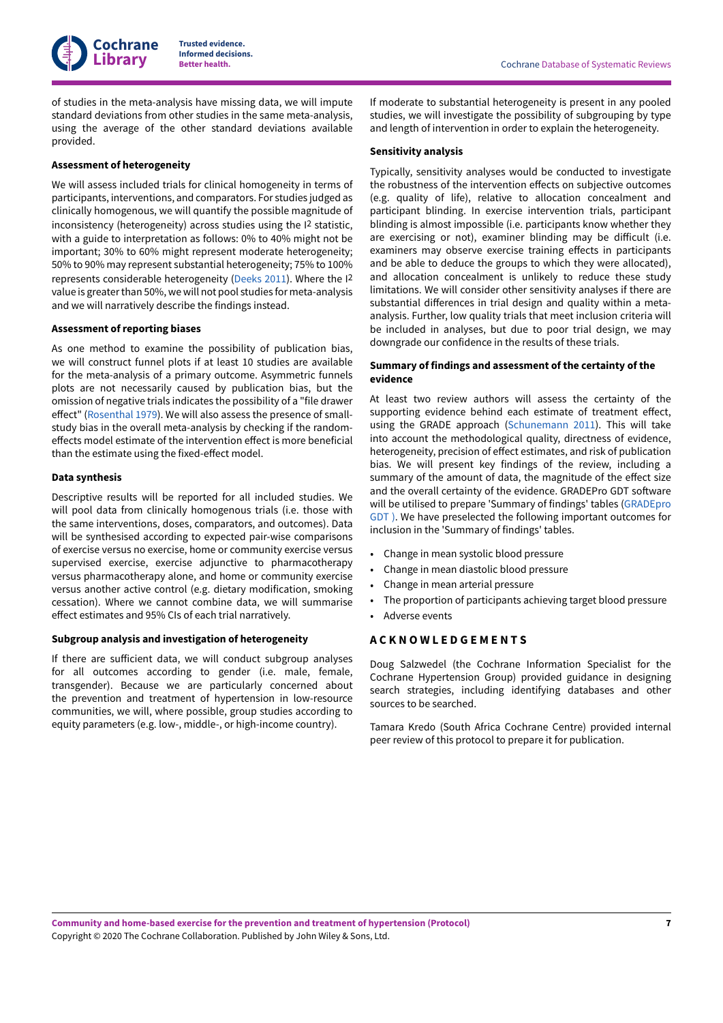**Cochrane Library**

**Trusted evidence. Informed decisions.**

of studies in the meta-analysis have missing data, we will impute standard deviations from other studies in the same meta-analysis, using the average of the other standard deviations available provided.

# **Assessment of heterogeneity**

We will assess included trials for clinical homogeneity in terms of participants, interventions, and comparators. For studies judged as clinically homogenous, we will quantify the possible magnitude of inconsistency (heterogeneity) across studies using the I 2 statistic, with a guide to interpretation as follows: 0% to 40% might not be important; 30% to 60% might represent moderate heterogeneity; 50% to 90% may represent substantial heterogeneity; 75% to 100% represents considerable heterogeneity ([Deeks 2011\)](#page-9-17). Where the I<sup>2</sup> value is greater than 50%, we will not pool studies for meta-analysis and we will narratively describe the findings instead.

### **Assessment of reporting biases**

As one method to examine the possibility of publication bias, we will construct funnel plots if at least 10 studies are available for the meta-analysis of a primary outcome. Asymmetric funnels plots are not necessarily caused by publication bias, but the omission of negative trials indicates the possibility of a "file drawer effect" ([Rosenthal](#page-10-15) 1979). We will also assess the presence of smallstudy bias in the overall meta-analysis by checking if the randomeffects model estimate of the intervention effect is more beneficial than the estimate using the fixed-effect model.

### **Data synthesis**

Descriptive results will be reported for all included studies. We will pool data from clinically homogenous trials (i.e. those with the same interventions, doses, comparators, and outcomes). Data will be synthesised according to expected pair-wise comparisons of exercise versus no exercise, home or community exercise versus supervised exercise, exercise adjunctive to pharmacotherapy versus pharmacotherapy alone, and home or community exercise versus another active control (e.g. dietary modification, smoking cessation). Where we cannot combine data, we will summarise effect estimates and 95% CIs of each trial narratively.

### **Subgroup analysis and investigation of heterogeneity**

If there are sufficient data, we will conduct subgroup analyses for all outcomes according to gender (i.e. male, female, transgender). Because we are particularly concerned about the prevention and treatment of hypertension in low-resource communities, we will, where possible, group studies according to equity parameters (e.g. low-, middle-, or high-income country).

If moderate to substantial heterogeneity is present in any pooled studies, we will investigate the possibility of subgrouping by type and length of intervention in order to explain the heterogeneity.

### **Sensitivity analysis**

Typically, sensitivity analyses would be conducted to investigate the robustness of the intervention effects on subjective outcomes (e.g. quality of life), relative to allocation concealment and participant blinding. In exercise intervention trials, participant blinding is almost impossible (i.e. participants know whether they are exercising or not), examiner blinding may be difficult (i.e. examiners may observe exercise training effects in participants and be able to deduce the groups to which they were allocated), and allocation concealment is unlikely to reduce these study limitations. We will consider other sensitivity analyses if there are substantial differences in trial design and quality within a metaanalysis. Further, low quality trials that meet inclusion criteria will be included in analyses, but due to poor trial design, we may downgrade our confidence in the results of these trials.

# **Summary of findings and assessment of the certainty of the evidence**

At least two review authors will assess the certainty of the supporting evidence behind each estimate of treatment effect, using the GRADE approach [\(Schunemann 2011](#page-10-16)). This will take into account the methodological quality, directness of evidence, heterogeneity, precision of effect estimates, and risk of publication bias. We will present key findings of the review, including a summary of the amount of data, the magnitude of the effect size and the overall certainty of the evidence. GRADEPro GDT software will be utilised to prepare 'Summary of findings' tables [\(GRADEpro](#page-9-18) [GDT](#page-9-18) [\)](https://gradepro.org/). We have preselected the following important outcomes for inclusion in the 'Summary of findings' tables.

- Change in mean systolic blood pressure
- Change in mean diastolic blood pressure
- Change in mean arterial pressure
- The proportion of participants achieving target blood pressure
- Adverse events

# <span id="page-8-0"></span>**A C K N O W L E D G E M E N T S**

Doug Salzwedel (the Cochrane Information Specialist for the Cochrane Hypertension Group) provided guidance in designing search strategies, including identifying databases and other sources to be searched.

Tamara Kredo (South Africa Cochrane Centre) provided internal peer review of this protocol to prepare it for publication.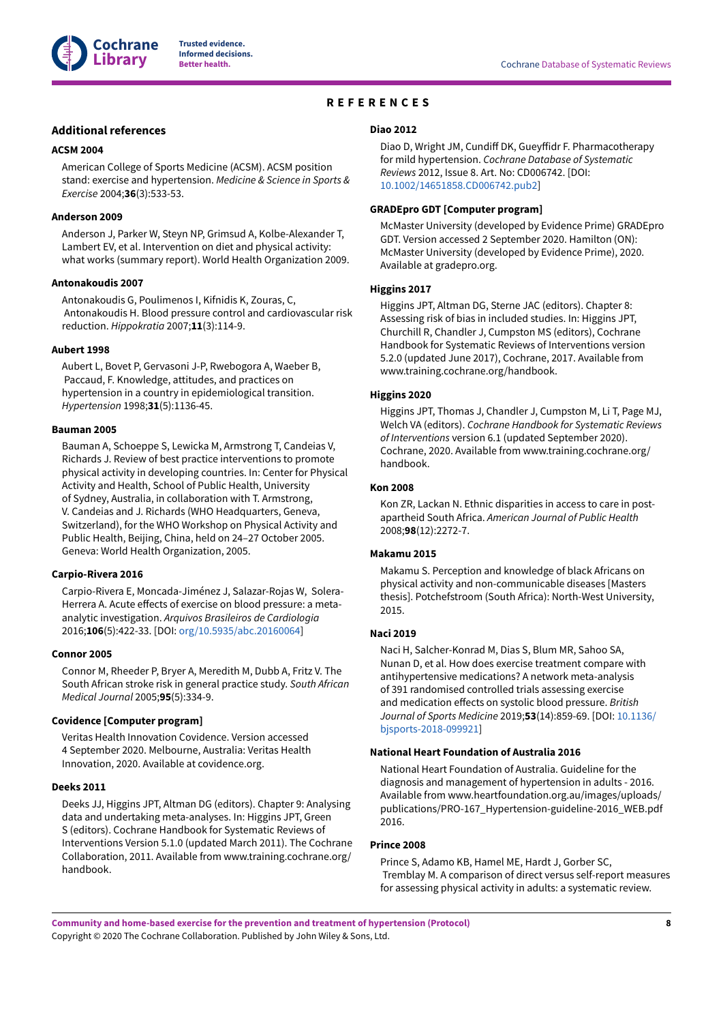

# **REFERENCES**

# <span id="page-9-0"></span>**Additional references**

## <span id="page-9-2"></span>**ACSM 2004**

American College of Sports Medicine (ACSM). ACSM position stand: exercise and hypertension. *Medicine & Science in Sports & Exercise* 2004;**36**(3):533-53.

### <span id="page-9-9"></span>**Anderson 2009**

Anderson J, Parker W, Steyn NP, Grimsud A, Kolbe-Alexander T, Lambert EV, et al. Intervention on diet and physical activity: what works (summary report). World Health Organization 2009.

#### <span id="page-9-11"></span>**Antonakoudis 2007**

Antonakoudis G, Poulimenos I, Kifnidis K, Zouras, C, Antonakoudis H. Blood pressure control and cardiovascular risk reduction. *Hippokratia* 2007;**11**(3):114-9.

#### <span id="page-9-6"></span>**Aubert 1998**

Aubert L, Bovet P, Gervasoni J-P, Rwebogora A, Waeber B, Paccaud, F. Knowledge, attitudes, and practices on hypertension in a country in epidemiological transition. *Hypertension* 1998;**31**(5):1136-45.

### <span id="page-9-13"></span>**Bauman 2005**

Bauman A, Schoeppe S, Lewicka M, Armstrong T, Candeias V, Richards J. Review of best practice interventions to promote physical activity in developing countries. In: Center for Physical Activity and Health, School of Public Health, University of Sydney, Australia, in collaboration with T. Armstrong, V. Candeias and J. Richards (WHO Headquarters, Geneva, Switzerland), for the WHO Workshop on Physical Activity and Public Health, Beijing, China, held on 24–27 October 2005. Geneva: World Health Organization, 2005.

#### <span id="page-9-10"></span>**Carpio-Rivera 2016**

Carpio-Rivera E, Moncada-Jiménez J, Salazar-Rojas W, Solera-Herrera A. Acute effects of exercise on blood pressure: a metaanalytic investigation. *Arquivos Brasileiros de Cardiologia* 2016;**106**(5):422-33. [DOI: [org/10.5935/abc.20160064](https://doi.org/org%2F10.5935%2Fabc.20160064)]

#### <span id="page-9-3"></span>**Connor 2005**

Connor M, Rheeder P, Bryer A, Meredith M, Dubb A, Fritz V. The South African stroke risk in general practice study. *South African Medical Journal* 2005;**95**(5):334-9.

# <span id="page-9-15"></span>**Covidence [Computer program]**

Veritas Health Innovation Covidence. Version accessed 4 September 2020. Melbourne, Australia: Veritas Health Innovation, 2020. Available at covidence.org.

### <span id="page-9-17"></span>**Deeks 2011**

Deeks JJ, Higgins JPT, Altman DG (editors). Chapter 9: Analysing data and undertaking meta-analyses. In: Higgins JPT, Green S (editors). Cochrane Handbook for Systematic Reviews of Interventions Version 5.1.0 (updated March 2011). The Cochrane Collaboration, 2011. Available from www.training.cochrane.org/ handbook.

# <span id="page-9-12"></span>**Diao 2012**

Diao D, Wright JM, Cundiff DK, Gueyffidr F. Pharmacotherapy for mild hypertension. *Cochrane Database of Systematic Reviews* 2012, Issue 8. Art. No: CD006742. [DOI: [10.1002/14651858.CD006742.pub2\]](https://doi.org/10.1002%2F14651858.CD006742.pub2)

### <span id="page-9-18"></span>**GRADEpro GDT [Computer program]**

McMaster University (developed by Evidence Prime) GRADEpro GDT. Version accessed 2 September 2020. Hamilton (ON): McMaster University (developed by Evidence Prime), 2020. Available at gradepro.org.

#### <span id="page-9-16"></span>**Higgins 2017**

Higgins JPT, Altman DG, Sterne JAC (editors). Chapter 8: Assessing risk of bias in included studies. In: Higgins JPT, Churchill R, Chandler J, Cumpston MS (editors), Cochrane Handbook for Systematic Reviews of Interventions version 5.2.0 (updated June 2017), Cochrane, 2017. Available from www.training.cochrane.org/handbook.

### <span id="page-9-14"></span>**Higgins 2020**

Higgins JPT, Thomas J, Chandler J, Cumpston M, Li T, Page MJ, Welch VA (editors). *Cochrane Handbook for Systematic Reviews of Interventions* version 6.1 (updated September 2020). Cochrane, 2020. Available from www.training.cochrane.org/ handbook.

# <span id="page-9-4"></span>**Kon 2008**

Kon ZR, Lackan N. Ethnic disparities in access to care in postapartheid South Africa. *American Journal of Public Health* 2008;**98**(12):2272-7.

# <span id="page-9-8"></span>**Makamu 2015**

Makamu S. Perception and knowledge of black Africans on physical activity and non-communicable diseases [Masters thesis]. Potchefstroom (South Africa): North-West University, 2015.

# <span id="page-9-5"></span>**Naci 2019**

Naci H, Salcher-Konrad M, Dias S, Blum MR, Sahoo SA, Nunan D, et al. How does exercise treatment compare with antihypertensive medications? A network meta-analysis of 391 randomised controlled trials assessing exercise and medication effects on systolic blood pressure. *British Journal of Sports Medicine* 2019;**53**(14):859-69. [DOI: [10.1136/](https://doi.org/10.1136%2Fbjsports-2018-099921) [bjsports-2018-099921](https://doi.org/10.1136%2Fbjsports-2018-099921)]

### <span id="page-9-1"></span>**National Heart Foundation of Australia 2016**

National Heart Foundation of Australia. Guideline for the diagnosis and management of hypertension in adults - 2016. Available from www.heartfoundation.org.au/images/uploads/ publications/PRO-167\_Hypertension-guideline-2016\_WEB.pdf 2016.

### <span id="page-9-7"></span>**Prince 2008**

Prince S, Adamo KB, Hamel ME, Hardt J, Gorber SC, Tremblay M. A comparison of direct versus self-report measures for assessing physical activity in adults: a systematic review.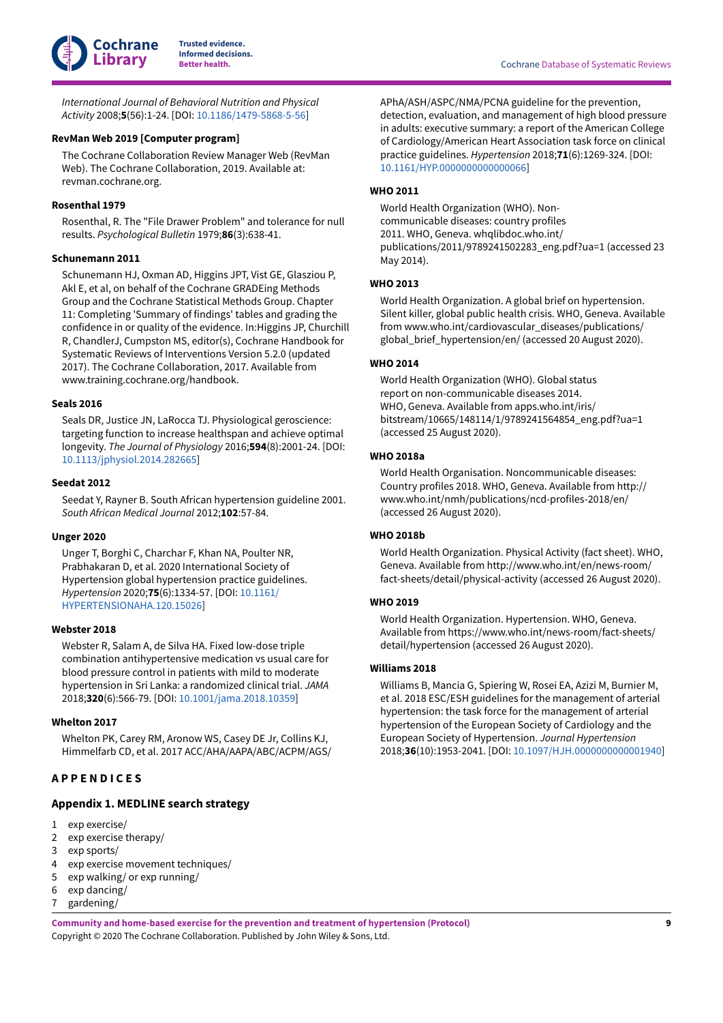

*International Journal of Behavioral Nutrition and Physical Activity* 2008;**5**(56):1-24. [DOI: [10.1186/1479-5868-5-56\]](https://doi.org/10.1186%2F1479-5868-5-56)

# <span id="page-10-14"></span>**RevMan Web 2019 [Computer program]**

The Cochrane Collaboration Review Manager Web (RevMan Web). The Cochrane Collaboration, 2019. Available at: revman.cochrane.org.

# <span id="page-10-15"></span>**Rosenthal 1979**

Rosenthal, R. The "File Drawer Problem" and tolerance for null results. *Psychological Bulletin* 1979;**86**(3):638-41.

# <span id="page-10-16"></span>**Schunemann 2011**

Schunemann HJ, Oxman AD, Higgins JPT, Vist GE, Glasziou P, Akl E, et al, on behalf of the Cochrane GRADEing Methods Group and the Cochrane Statistical Methods Group. Chapter 11: Completing 'Summary of findings' tables and grading the confidence in or quality of the evidence. In:Higgins JP, Churchill R, ChandlerJ, Cumpston MS, editor(s), Cochrane Handbook for Systematic Reviews of Interventions Version 5.2.0 (updated 2017). The Cochrane Collaboration, 2017. Available from www.training.cochrane.org/handbook.

# <span id="page-10-10"></span>**Seals 2016**

Seals DR, Justice JN, LaRocca TJ. Physiological geroscience: targeting function to increase healthspan and achieve optimal longevity. *The Journal of Physiology* 2016;**594**(8):2001-24. [DOI: [10.1113/jphysiol.2014.282665\]](https://doi.org/10.1113%2Fjphysiol.2014.282665)

# <span id="page-10-11"></span>**Seedat 2012**

Seedat Y, Rayner B. South African hypertension guideline 2001. *South African Medical Journal* 2012;**102**:57-84.

#### <span id="page-10-9"></span>**Unger 2020**

Unger T, Borghi C, Charchar F, Khan NA, Poulter NR, Prabhakaran D, et al. 2020 International Society of Hypertension global hypertension practice guidelines. *Hypertension* 2020;**75**(6):1334-57. [DOI: [10.1161/](https://doi.org/10.1161%2FHYPERTENSIONAHA.120.15026) [HYPERTENSIONAHA.120.15026](https://doi.org/10.1161%2FHYPERTENSIONAHA.120.15026)]

### <span id="page-10-12"></span>**Webster 2018**

Webster R, Salam A, de Silva HA. Fixed low-dose triple combination antihypertensive medication vs usual care for blood pressure control in patients with mild to moderate hypertension in Sri Lanka: a randomized clinical trial. *JAMA* 2018;**320**(6):566-79. [DOI: [10.1001/jama.2018.10359](https://doi.org/10.1001%2Fjama.2018.10359)]

# <span id="page-10-4"></span>**Whelton 2017**

Whelton PK, Carey RM, Aronow WS, Casey DE Jr, Collins KJ, Himmelfarb CD, et al. 2017 ACC/AHA/AAPA/ABC/ACPM/AGS/

# <span id="page-10-0"></span>**A P P E N D I C E S**

# <span id="page-10-13"></span>**Appendix 1. MEDLINE search strategy**

- 1 exp exercise/
- 2 exp exercise therapy/
- 3 exp sports/
- 4 exp exercise movement techniques/
- 5 exp walking/ or exp running/
- 6 exp dancing/
- 7 gardening/

**Beta Cochrane Database of Systematic Reviews** 

APhA/ASH/ASPC/NMA/PCNA guideline for the prevention, detection, evaluation, and management of high blood pressure in adults: executive summary: a report of the American College of Cardiology/American Heart Association task force on clinical practice guidelines. *Hypertension* 2018;**71**(6):1269-324. [DOI: [10.1161/HYP.0000000000000066\]](https://doi.org/10.1161%2FHYP.0000000000000066)

# <span id="page-10-7"></span>**WHO 2011**

World Health Organization (WHO). Noncommunicable diseases: country profiles 2011. WHO, Geneva. whqlibdoc.who.int/ publications/2011/9789241502283\_eng.pdf?ua=1 (accessed 23 May 2014).

### <span id="page-10-1"></span>**WHO 2013**

World Health Organization. A global brief on hypertension. Silent killer, global public health crisis. WHO, Geneva. Available from www.who.int/cardiovascular\_diseases/publications/ global\_brief\_hypertension/en/ (accessed 20 August 2020).

# <span id="page-10-2"></span>**WHO 2014**

World Health Organization (WHO). Global status report on non-communicable diseases 2014. WHO, Geneva. Available from apps.who.int/iris/ bitstream/10665/148114/1/9789241564854\_eng.pdf?ua=1 (accessed 25 August 2020).

# <span id="page-10-3"></span>**WHO 2018a**

World Health Organisation. Noncommunicable diseases: Country profiles 2018. WHO, Geneva. Available from http:// www.who.int/nmh/publications/ncd-profiles-2018/en/ (accessed 26 August 2020).

#### <span id="page-10-8"></span>**WHO 2018b**

World Health Organization. Physical Activity (fact sheet). WHO, Geneva. Available from http://www.who.int/en/news-room/ fact-sheets/detail/physical-activity (accessed 26 August 2020).

### <span id="page-10-6"></span>**WHO 2019**

World Health Organization. Hypertension. WHO, Geneva. Available from https://www.who.int/news-room/fact-sheets/ detail/hypertension (accessed 26 August 2020).

#### <span id="page-10-5"></span>**Williams 2018**

Williams B, Mancia G, Spiering W, Rosei EA, Azizi M, Burnier M, et al. 2018 ESC/ESH guidelines for the management of arterial hypertension: the task force for the management of arterial hypertension of the European Society of Cardiology and the European Society of Hypertension. *Journal Hypertension* 2018;**36**(10):1953-2041. [DOI: [10.1097/HJH.0000000000001940\]](https://doi.org/10.1097%2FHJH.0000000000001940)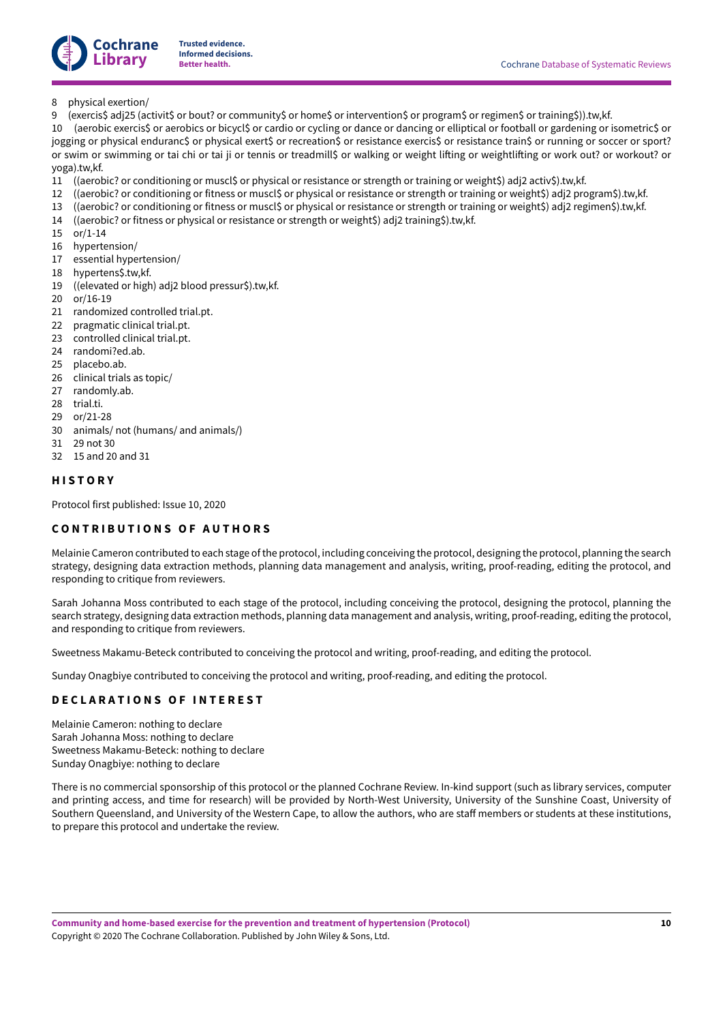

# 8 physical exertion/

9 (exercis\$ adj25 (activit\$ or bout? or community\$ or home\$ or intervention\$ or program\$ or regimen\$ or training\$)).tw,kf.

10 (aerobic exercis\$ or aerobics or bicycl\$ or cardio or cycling or dance or dancing or elliptical or football or gardening or isometric\$ or jogging or physical enduranc\$ or physical exert\$ or recreation\$ or resistance exercis\$ or resistance train\$ or running or soccer or sport? or swim or swimming or tai chi or tai ji or tennis or treadmill\$ or walking or weight lifting or weightlifting or work out? or workout? or yoga).tw,kf.

- 11 ((aerobic? or conditioning or muscl\$ or physical or resistance or strength or training or weight\$) adj2 activ\$).tw,kf.
- 12 ((aerobic? or conditioning or fitness or muscl\$ or physical or resistance or strength or training or weight\$) adj2 program\$).tw,kf.
- 13 ((aerobic? or conditioning or fitness or muscl\$ or physical or resistance or strength or training or weight\$) adj2 regimen\$).tw,kf.
- 14 ((aerobic? or fitness or physical or resistance or strength or weight\$) adj2 training\$).tw,kf.
- 15 or/1-14
- 16 hypertension/
- 17 essential hypertension/
- 18 hypertens\$.tw,kf.
- 19 ((elevated or high) adj2 blood pressur\$).tw,kf.
- 20 or/16-19
- 21 randomized controlled trial.pt.
- 22 pragmatic clinical trial.pt.
- 23 controlled clinical trial.pt.
- 24 randomi?ed.ab.
- 25 placebo.ab.
- 26 clinical trials as topic/
- 27 randomly.ab.
- 28 trial.ti.
- 29 or/21-28
- 30 animals/ not (humans/ and animals/)
- 31 29 not 30
- 32 15 and 20 and 31

# <span id="page-11-0"></span>**H I S T O R Y**

Protocol first published: Issue 10, 2020

# <span id="page-11-1"></span>**C O N T R I B U T I O N S O F A U T H O R S**

Melainie Cameron contributed to each stage ofthe protocol, including conceiving the protocol, designing the protocol, planning the search strategy, designing data extraction methods, planning data management and analysis, writing, proof-reading, editing the protocol, and responding to critique from reviewers.

Sarah Johanna Moss contributed to each stage of the protocol, including conceiving the protocol, designing the protocol, planning the search strategy, designing data extraction methods, planning data management and analysis, writing, proof-reading, editing the protocol, and responding to critique from reviewers.

Sweetness Makamu-Beteck contributed to conceiving the protocol and writing, proof-reading, and editing the protocol.

Sunday Onagbiye contributed to conceiving the protocol and writing, proof-reading, and editing the protocol.

# <span id="page-11-2"></span>**D E C L A R A T I O N S O F I N T E R E S T**

Melainie Cameron: nothing to declare Sarah Johanna Moss: nothing to declare Sweetness Makamu-Beteck: nothing to declare Sunday Onagbiye: nothing to declare

There is no commercial sponsorship of this protocol or the planned Cochrane Review. In-kind support (such as library services, computer and printing access, and time for research) will be provided by North-West University, University of the Sunshine Coast, University of Southern Queensland, and University of the Western Cape, to allow the authors, who are staff members or students at these institutions, to prepare this protocol and undertake the review.